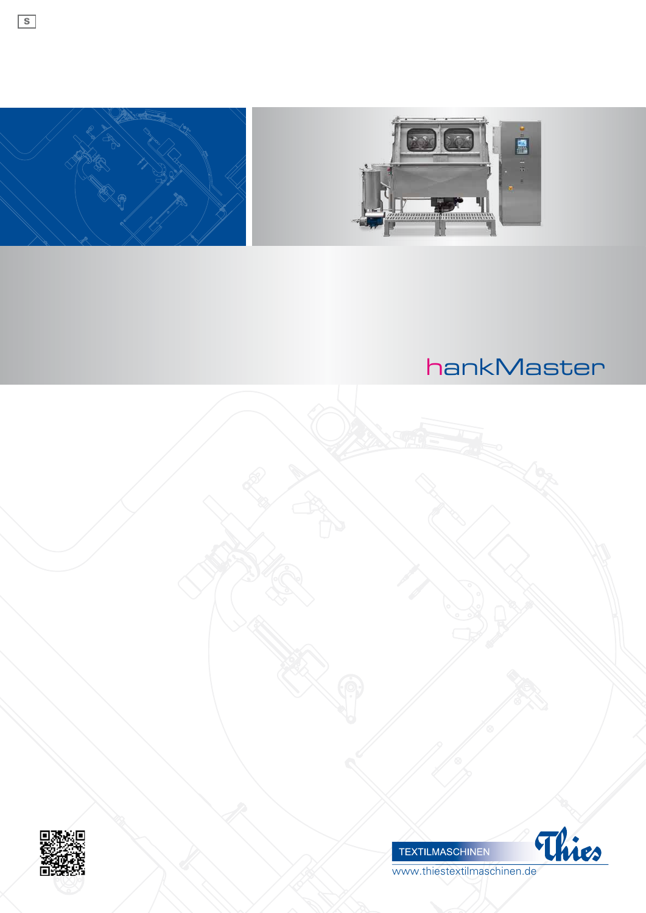

 $\boxed{\mathsf{s}}$ 











www.thiestextilmaschinen.de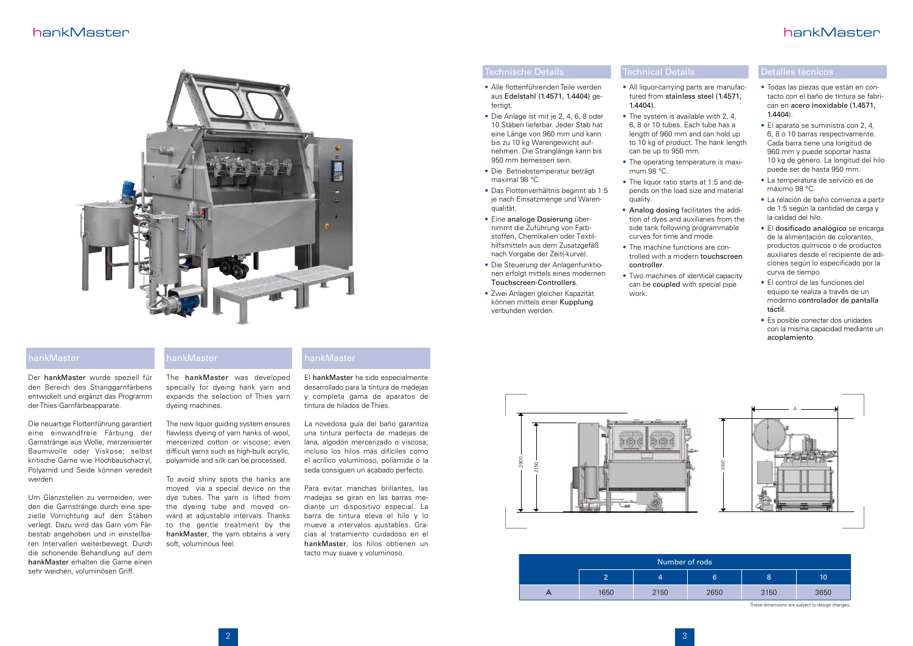

# hankMaster hankMaster

• All liquor-carrying parts are manufac-

• The liquor ratio starts at 1:5 and de-



### hankMaster

Der hankMaster wurde speziell für den Bereich des Stranggarnfärbens entwickelt und ergänzt das Programm der Thies-Garnfärbeapparate.

Die neuartige Flottenführung garantiert eine einwandfreie Färbung der Garnstränge aus Wolle, merzerisierter Baumwolle oder Viskose; selbst kritische Garne wie Hochbauschacryl, Polyamid und Seide können veredelt werden.

Um Glanzstellen zu vermeiden, werden die Garnstränge durch eine spezielle Vorrichtung auf den Stäben verlegt. Dazu wird das Garn vom Färbestab angehoben und in einstellbaren Intervallen weiterbewegt. Durch die schonende Behandlung auf dem hankMaster erhalten die Garne einen sehr weichen, voluminösen Griff.

### hankMaster

The hankMaster was developed specially for dyeing hank yarn and expands the selection of Thies yarn dyeing machines.

The new liquor guiding system ensures flawless dyeing of yarn hanks of wool, mercerized cotton or viscose; even difficult yarns such as high-bulk acrylic, polyamide and silk can be processed.

To avoid shiny spots the hanks are moved via a special device on the dye tubes. The yarn is lifted from the dyeing tube and moved onward at adjustable intervals. Thanks to the gentle treatment by the hankMaster, the yarn obtains a very soft, voluminous feel.

### Technische Details

- • Alle flottenführenden Teile werden aus Edelstahl (1.4571, 1.4404) gefertigt.
- • Die Anlage ist mit je 2, 4, 6, 8 oder 10 Stäben lieferbar. Jeder Stab hat eine Länge von 960 mm und kann bis zu 10 kg Warengewicht aufnehmen. Die Stranglänge kann bis 950 mm bemessen sein.
- • Die Betriebstemperatur beträgt maximal 98 °C.
- Das Flottenverhältnis beginnt ab 1:5 je nach Einsatzmenge und Warenqualität.
- Eine analoge Dosierung übernimmt die Zuführung von Farbstoffen, Chemikalien oder Textilhilfsmitteln aus dem Zusatzgefäß nach Vorgabe der Zeit(-kurve).
- Die Steuerung der Anlagenfunktionen erfolgt mittels eines modernen Touchscreen-Controllers.
- • Zwei Anlagen gleicher Kapazität können mittels einer Kupplung verbunden werden.

## Technical Details

- tured from stainless steel (1.4571, 1.4404).
- $\bullet$  The system is available with 2, 4. 6, 8 or 10 tubes. Each tube has a length of 960 mm and can hold up to 10 kg of product. The hank length can be up to 950 mm.
- The operating temperature is maximum 98 °C.
- pends on the load size and material quality. • Analog dosing facilitates the addi
	- tion of dyes and auxiliaries from the side tank following programmable curves for time and mode.
- The machine functions are controlled with a modern touchscreen controller.
- Two machines of identical capacity can be coupled with special pipe work.

| Number of rods |      |      |      |      |      |
|----------------|------|------|------|------|------|
|                | -    | 4    | 6    | ୪    | 10   |
|                | 1650 | 2150 | 2650 | 3150 | 3650 |

These dimensions are subject to design changes.

- • Todas las piezas que están en contacto con el baño de tintura se fabrican en acero inoxidable (1.4571, 1.4404).
- El aparato se suministra con 2, 4, 6, 8 o 10 barras respectivamente. Cada barra tiene una longitud de 960 mm y puede soportar hasta 10 kg de género. La longitud del hilo puede ser de hasta 950 mm.
- • La temperatura de servicio es de máximo 98 °C.
- • La relación de baño comienza a partir de 1:5 según la cantidad de carga y la calidad del hilo.
- • El dosificado analógico se encarga de la alimentación de colorantes, productos químicos o de productos auxiliares desde el recipiente de adiciones según lo especificado por la curva de tiempo.
- El control de las funciones del equipo se realiza a través de un moderno controlador de pantalla táctil.
- Es posible conectar dos unidades con la misma capacidad mediante un acoplamiento.

El hankMaster ha sido especialmente desarrollado para la tintura de madejas y completa gama de aparatos de tintura de hilados de Thies.

La novedosa guía del baño garantiza una tintura perfecta de madejas de lana, algodón mercerizado o viscosa; incluso los hilos más difíciles como el acrílico voluminoso, poliamida o la seda consiguen un acabado perfecto.

Para evitar manchas brillantes, las madejas se giran en las barras mediante un dispositivo especial. La barra de tintura eleva el hilo y lo mueve a intervalos ajustables. Gracias al tratamiento cuidadoso en el hankMaster, los hilos obtienen un tacto muy suave y voluminoso.

### hankMaster

### Detalles técnicos